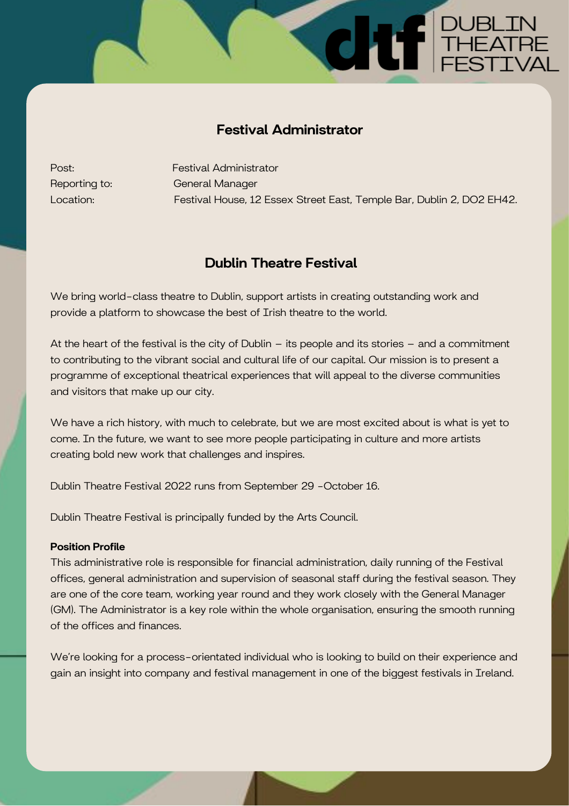# Festival Administrator

Post: Festival Administrator Reporting to: General Manager Location: Festival House, 12 Essex Street East, Temple Bar, Dublin 2, DO2 EH42.

P DUBLIN<br>THEATRE<br>FESTIVAL

# Dublin Theatre Festival

We bring world-class theatre to Dublin, support artists in creating outstanding work and provide a platform to showcase the best of Irish theatre to the world.

At the heart of the festival is the city of Dublin – its people and its stories – and a commitment to contributing to the vibrant social and cultural life of our capital. Our mission is to present a programme of exceptional theatrical experiences that will appeal to the diverse communities and visitors that make up our city.

We have a rich history, with much to celebrate, but we are most excited about is what is yet to come. In the future, we want to see more people participating in culture and more artists creating bold new work that challenges and inspires.

Dublin Theatre Festival 2022 runs from September 29 -October 16.

Dublin Theatre Festival is principally funded by the Arts Council.

## Position Profile

This administrative role is responsible for financial administration, daily running of the Festival offices, general administration and supervision of seasonal staff during the festival season. They are one of the core team, working year round and they work closely with the General Manager (GM). The Administrator is a key role within the whole organisation, ensuring the smooth running of the offices and finances.

We're looking for a process-orientated individual who is looking to build on their experience and gain an insight into company and festival management in one of the biggest festivals in Ireland.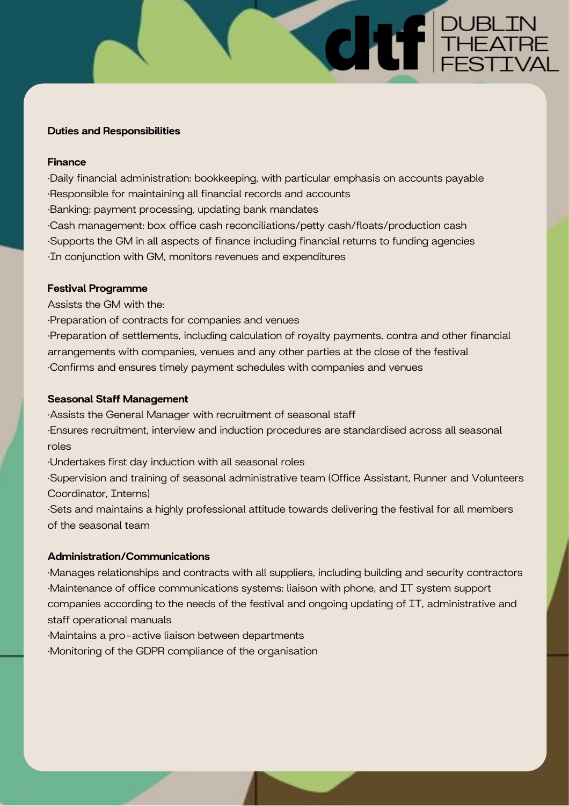## Duties and Responsibilities

## Finance

·Daily financial administration: bookkeeping, with particular emphasis on accounts payable ·Responsible for maintaining all financial records and accounts ·Banking: payment processing, updating bank mandates ·Cash management: box office cash reconciliations/petty cash/floats/production cash ·Supports the GM in all aspects of finance including financial returns to funding agencies ·In conjunction with GM, monitors revenues and expenditures

**E DUBLIN<br>THEATRE** 

## Festival Programme

Assists the GM with the:

·Preparation of contracts for companies and venues

·Preparation of settlements, including calculation of royalty payments, contra and other financial arrangements with companies, venues and any other parties at the close of the festival ·Confirms and ensures timely payment schedules with companies and venues

#### Seasonal Staff Management

·Assists the General Manager with recruitment of seasonal staff ·Ensures recruitment, interview and induction procedures are standardised across all seasonal roles

·Undertakes first day induction with all seasonal roles

·Supervision and training of seasonal administrative team (Office Assistant, Runner and Volunteers Coordinator, Interns)

·Sets and maintains a highly professional attitude towards delivering the festival for all members of the seasonal team

#### Administration/Communications

·Manages relationships and contracts with all suppliers, including building and security contractors ·Maintenance of office communications systems: liaison with phone, and IT system support companies according to the needs of the festival and ongoing updating of IT, administrative and staff operational manuals

·Maintains a pro-active liaison between departments

·Monitoring of the GDPR compliance of the organisation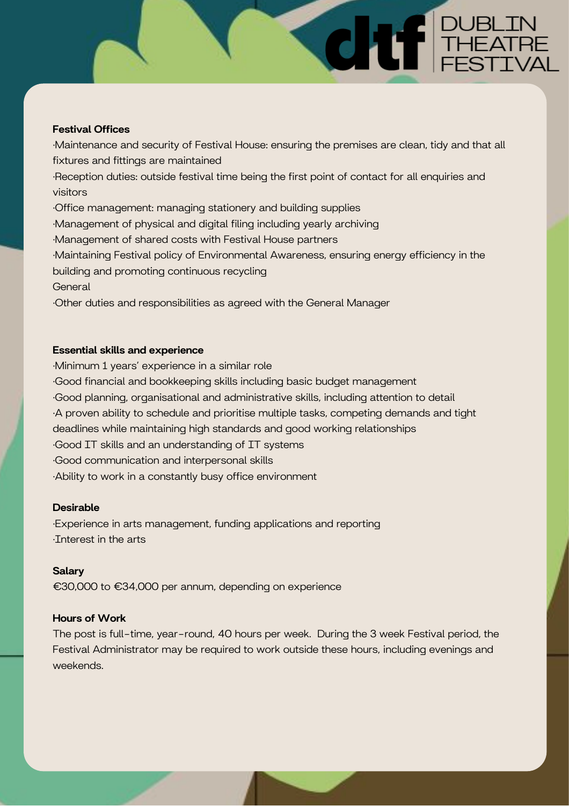# Festival Offices

·Maintenance and security of Festival House: ensuring the premises are clean, tidy and that all fixtures and fittings are maintained ·Reception duties: outside festival time being the first point of contact for all enquiries and visitors ·Office management: managing stationery and building supplies ·Management of physical and digital filing including yearly archiving ·Management of shared costs with Festival House partners ·Maintaining Festival policy of Environmental Awareness, ensuring energy efficiency in the building and promoting continuous recycling **General** ·Other duties and responsibilities as agreed with the General Manager

F DUBLIN<br>THEATRE<br>FESTIVAL

# Essential skills and experience

·Minimum 1 years' experience in a similar role ·Good financial and bookkeeping skills including basic budget management ·Good planning, organisational and administrative skills, including attention to detail ·A proven ability to schedule and prioritise multiple tasks, competing demands and tight deadlines while maintaining high standards and good working relationships ·Good IT skills and an understanding of IT systems ·Good communication and interpersonal skills ·Ability to work in a constantly busy office environment

# Desirable

·Experience in arts management, funding applications and reporting ·Interest in the arts

# **Salary**

€30,000 to €34,000 per annum, depending on experience

# Hours of Work

The post is full-time, year-round, 40 hours per week. During the 3 week Festival period, the Festival Administrator may be required to work outside these hours, including evenings and weekends.